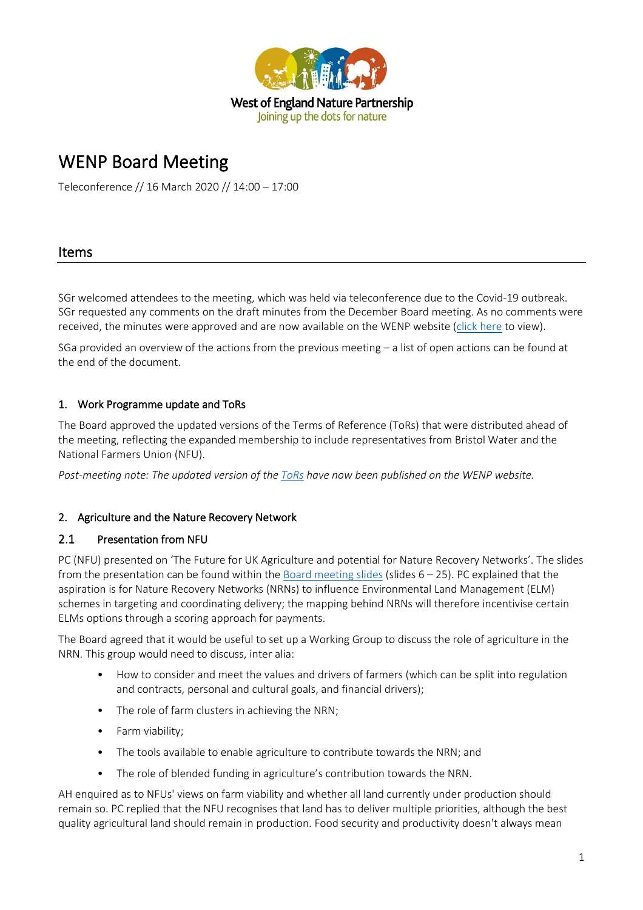

# WENP Board Meeting

Teleconference // 16 March 2020 // 14:00 – 17:00

## Items

SGr welcomed attendees to the meeting, which was held via teleconference due to the Covid-19 outbreak. SGr requested any comments on the draft minutes from the December Board meeting. As no comments were received, the minutes were approved and are now available on the WENP website [\(click here](http://www.wenp.org.uk/wp-content/uploads/2020/03/2019.12-WENP-Board-Minutes.pdf) to view).

SGa provided an overview of the actions from the previous meeting – a list of open actions can be found at the end of the document.

## 1. Work Programme update and ToRs

The Board approved the updated versions of the Terms of Reference (ToRs) that were distributed ahead of the meeting, reflecting the expanded membership to include representatives from Bristol Water and the National Farmers Union (NFU).

*Post-meeting note: The updated version of the [ToRs](http://www.wenp.org.uk/wp-content/uploads/2020/03/WENP-Terms-of-Reference_Mar20.pdf) have now been published on the WENP website.* 

## 2. Agriculture and the Nature Recovery Network

## 2.1 Presentation from NFU

PC (NFU) presented on 'The Future for UK Agriculture and potential for Nature Recovery Networks'. The slides from the presentation can be found within the [Board meeting slides](http://www.wenp.org.uk/wp-content/uploads/2020/03/WENP-Board-Slides-17_03_20.pdf) (slides  $6 - 25$ ). PC explained that the aspiration is for Nature Recovery Networks (NRNs) to influence Environmental Land Management (ELM) schemes in targeting and coordinating delivery; the mapping behind NRNs will therefore incentivise certain ELMs options through a scoring approach for payments.

The Board agreed that it would be useful to set up a Working Group to discuss the role of agriculture in the NRN. This group would need to discuss, inter alia:

- How to consider and meet the values and drivers of farmers (which can be split into regulation and contracts, personal and cultural goals, and financial drivers);
- The role of farm clusters in achieving the NRN;
- Farm viability;
- The tools available to enable agriculture to contribute towards the NRN; and
- The role of blended funding in agriculture's contribution towards the NRN.

AH enquired as to NFUs' views on farm viability and whether all land currently under production should remain so. PC replied that the NFU recognises that land has to deliver multiple priorities, although the best quality agricultural land should remain in production. Food security and productivity doesn't always mean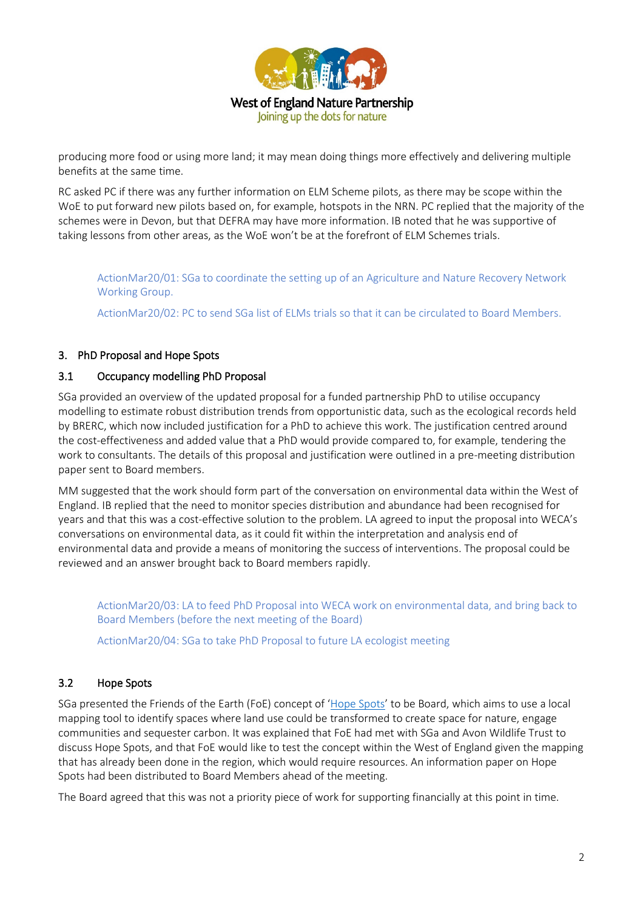

producing more food or using more land; it may mean doing things more effectively and delivering multiple benefits at the same time.

RC asked PC if there was any further information on ELM Scheme pilots, as there may be scope within the WoE to put forward new pilots based on, for example, hotspots in the NRN. PC replied that the majority of the schemes were in Devon, but that DEFRA may have more information. IB noted that he was supportive of taking lessons from other areas, as the WoE won't be at the forefront of ELM Schemes trials.

ActionMar20/01: SGa to coordinate the setting up of an Agriculture and Nature Recovery Network Working Group.

ActionMar20/02: PC to send SGa list of ELMs trials so that it can be circulated to Board Members.

## 3. PhD Proposal and Hope Spots

#### 3.1 Occupancy modelling PhD Proposal

SGa provided an overview of the updated proposal for a funded partnership PhD to utilise occupancy modelling to estimate robust distribution trends from opportunistic data, such as the ecological records held by BRERC, which now included justification for a PhD to achieve this work. The justification centred around the cost-effectiveness and added value that a PhD would provide compared to, for example, tendering the work to consultants. The details of this proposal and justification were outlined in a pre-meeting distribution paper sent to Board members.

MM suggested that the work should form part of the conversation on environmental data within the West of England. IB replied that the need to monitor species distribution and abundance had been recognised for years and that this was a cost-effective solution to the problem. LA agreed to input the proposal into WECA's conversations on environmental data, as it could fit within the interpretation and analysis end of environmental data and provide a means of monitoring the success of interventions. The proposal could be reviewed and an answer brought back to Board members rapidly.

ActionMar20/03: LA to feed PhD Proposal into WECA work on environmental data, and bring back to Board Members (before the next meeting of the Board)

ActionMar20/04: SGa to take PhD Proposal to future LA ecologist meeting

## 3.2 Hope Spots

SGa presented the Friends of the Earth (FoE) concept of ['Hope Spots'](https://experiments.friendsoftheearth.uk/blog/hot-spots-hope-spots-bringing-wildly-different-green-belt-life) to be Board, which aims to use a local mapping tool to identify spaces where land use could be transformed to create space for nature, engage communities and sequester carbon. It was explained that FoE had met with SGa and Avon Wildlife Trust to discuss Hope Spots, and that FoE would like to test the concept within the West of England given the mapping that has already been done in the region, which would require resources. An information paper on Hope Spots had been distributed to Board Members ahead of the meeting.

The Board agreed that this was not a priority piece of work for supporting financially at this point in time.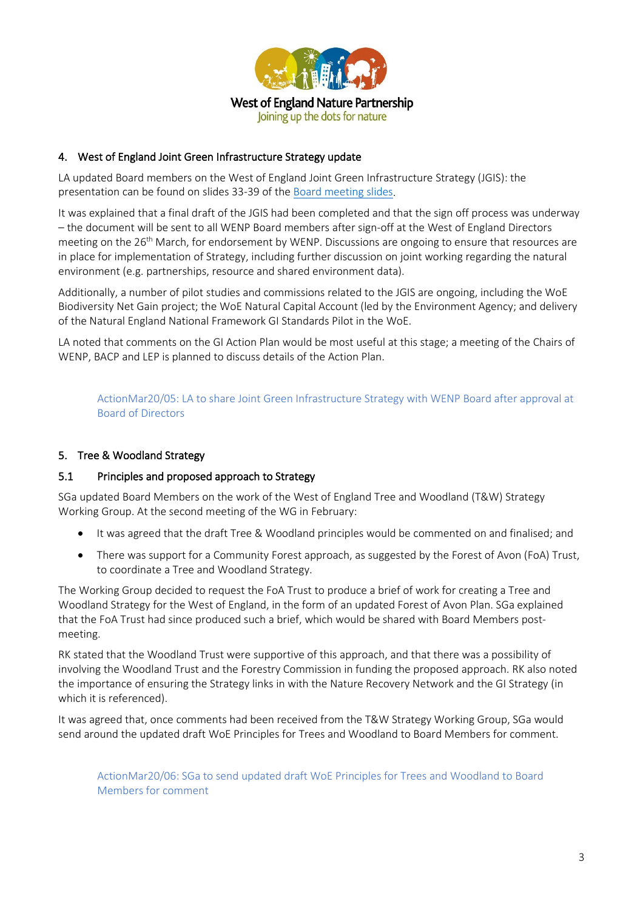

## 4. West of England Joint Green Infrastructure Strategy update

LA updated Board members on the West of England Joint Green Infrastructure Strategy (JGIS): the presentation can be found on slides 33-39 of the [Board meeting slides.](http://www.wenp.org.uk/wp-content/uploads/2020/03/WENP-Board-Slides-17_03_20.pdf)

It was explained that a final draft of the JGIS had been completed and that the sign off process was underway – the document will be sent to all WENP Board members after sign-off at the West of England Directors meeting on the 26<sup>th</sup> March, for endorsement by WENP. Discussions are ongoing to ensure that resources are in place for implementation of Strategy, including further discussion on joint working regarding the natural environment (e.g. partnerships, resource and shared environment data).

Additionally, a number of pilot studies and commissions related to the JGIS are ongoing, including the WoE Biodiversity Net Gain project; the WoE Natural Capital Account (led by the Environment Agency; and delivery of the Natural England National Framework GI Standards Pilot in the WoE.

LA noted that comments on the GI Action Plan would be most useful at this stage; a meeting of the Chairs of WENP, BACP and LEP is planned to discuss details of the Action Plan.

ActionMar20/05: LA to share Joint Green Infrastructure Strategy with WENP Board after approval at Board of Directors

## 5. Tree & Woodland Strategy

#### 5.1 Principles and proposed approach to Strategy

SGa updated Board Members on the work of the West of England Tree and Woodland (T&W) Strategy Working Group. At the second meeting of the WG in February:

- It was agreed that the draft Tree & Woodland principles would be commented on and finalised; and
- There was support for a Community Forest approach, as suggested by the Forest of Avon (FoA) Trust, to coordinate a Tree and Woodland Strategy.

The Working Group decided to request the FoA Trust to produce a brief of work for creating a Tree and Woodland Strategy for the West of England, in the form of an updated Forest of Avon Plan. SGa explained that the FoA Trust had since produced such a brief, which would be shared with Board Members postmeeting.

RK stated that the Woodland Trust were supportive of this approach, and that there was a possibility of involving the Woodland Trust and the Forestry Commission in funding the proposed approach. RK also noted the importance of ensuring the Strategy links in with the Nature Recovery Network and the GI Strategy (in which it is referenced).

It was agreed that, once comments had been received from the T&W Strategy Working Group, SGa would send around the updated draft WoE Principles for Trees and Woodland to Board Members for comment.

ActionMar20/06: SGa to send updated draft WoE Principles for Trees and Woodland to Board Members for comment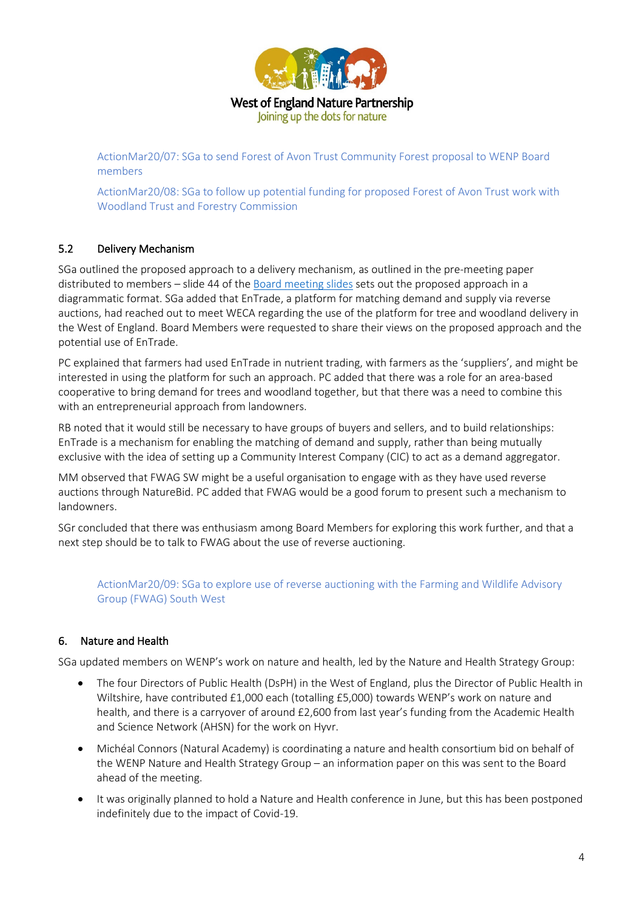

ActionMar20/07: SGa to send Forest of Avon Trust Community Forest proposal to WENP Board members

ActionMar20/08: SGa to follow up potential funding for proposed Forest of Avon Trust work with Woodland Trust and Forestry Commission

## 5.2 Delivery Mechanism

SGa outlined the proposed approach to a delivery mechanism, as outlined in the pre-meeting paper distributed to members – slide 44 of the [Board meeting slides](http://www.wenp.org.uk/wp-content/uploads/2020/03/WENP-Board-Slides-17_03_20.pdf) sets out the proposed approach in a diagrammatic format. SGa added that EnTrade, a platform for matching demand and supply via reverse auctions, had reached out to meet WECA regarding the use of the platform for tree and woodland delivery in the West of England. Board Members were requested to share their views on the proposed approach and the potential use of EnTrade.

PC explained that farmers had used EnTrade in nutrient trading, with farmers as the 'suppliers', and might be interested in using the platform for such an approach. PC added that there was a role for an area-based cooperative to bring demand for trees and woodland together, but that there was a need to combine this with an entrepreneurial approach from landowners.

RB noted that it would still be necessary to have groups of buyers and sellers, and to build relationships: EnTrade is a mechanism for enabling the matching of demand and supply, rather than being mutually exclusive with the idea of setting up a Community Interest Company (CIC) to act as a demand aggregator.

MM observed that FWAG SW might be a useful organisation to engage with as they have used reverse auctions through NatureBid. PC added that FWAG would be a good forum to present such a mechanism to landowners.

SGr concluded that there was enthusiasm among Board Members for exploring this work further, and that a next step should be to talk to FWAG about the use of reverse auctioning.

ActionMar20/09: SGa to explore use of reverse auctioning with the Farming and Wildlife Advisory Group (FWAG) South West

## 6. Nature and Health

SGa updated members on WENP's work on nature and health, led by the Nature and Health Strategy Group:

- The four Directors of Public Health (DsPH) in the West of England, plus the Director of Public Health in Wiltshire, have contributed £1,000 each (totalling £5,000) towards WENP's work on nature and health, and there is a carryover of around £2,600 from last year's funding from the Academic Health and Science Network (AHSN) for the work on Hyvr.
- Michéal Connors (Natural Academy) is coordinating a nature and health consortium bid on behalf of the WENP Nature and Health Strategy Group – an information paper on this was sent to the Board ahead of the meeting.
- It was originally planned to hold a Nature and Health conference in June, but this has been postponed indefinitely due to the impact of Covid-19.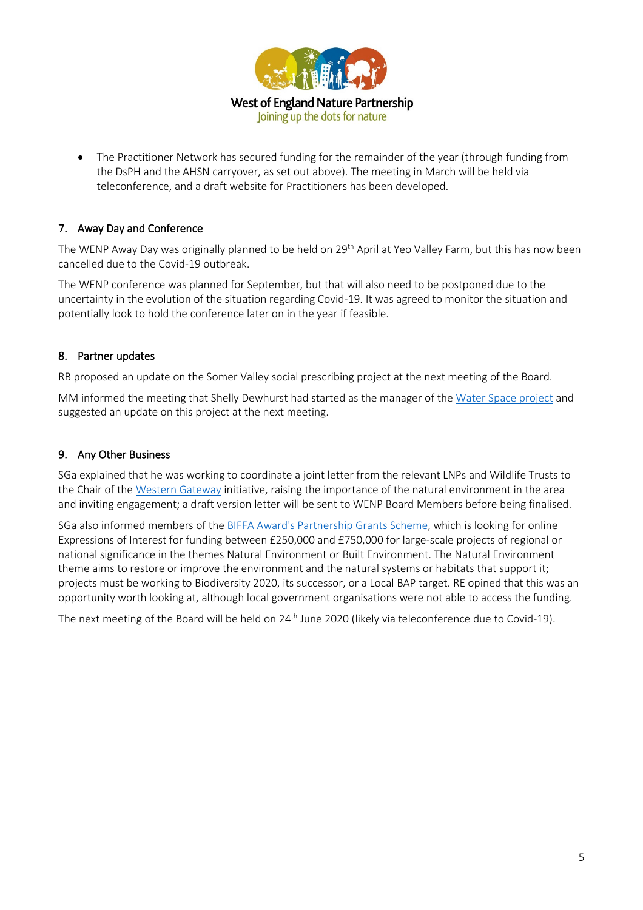

• The Practitioner Network has secured funding for the remainder of the year (through funding from the DsPH and the AHSN carryover, as set out above). The meeting in March will be held via teleconference, and a draft website for Practitioners has been developed.

## 7. Away Day and Conference

The WENP Away Day was originally planned to be held on 29<sup>th</sup> April at Yeo Valley Farm, but this has now been cancelled due to the Covid-19 outbreak.

The WENP conference was planned for September, but that will also need to be postponed due to the uncertainty in the evolution of the situation regarding Covid-19. It was agreed to monitor the situation and potentially look to hold the conference later on in the year if feasible.

## 8. Partner updates

RB proposed an update on the Somer Valley social prescribing project at the next meeting of the Board.

MM informed the meeting that Shelly Dewhurst had started as the manager of the Water [Space project](https://www.bathnes.gov.uk/services/environment/river-safety/rivers-canals/water-space-study) and suggested an update on this project at the next meeting.

## 9. Any Other Business

SGa explained that he was working to coordinate a joint letter from the relevant LNPs and Wildlife Trusts to the Chair of th[e Western Gateway](http://western-gateway.co.uk/) initiative, raising the importance of the natural environment in the area and inviting engagement; a draft version letter will be sent to WENP Board Members before being finalised.

SGa also informed members of the [BIFFA Award's Partnership Grants Scheme,](https://www.biffa-award.org/partnerships/) which is looking for online Expressions of Interest for funding between £250,000 and £750,000 for large-scale projects of regional or national significance in the themes Natural Environment or Built Environment. The Natural Environment theme aims to restore or improve the environment and the natural systems or habitats that support it; projects must be working to Biodiversity 2020, its successor, or a Local BAP target. RE opined that this was an opportunity worth looking at, although local government organisations were not able to access the funding.

The next meeting of the Board will be held on 24<sup>th</sup> June 2020 (likely via teleconference due to Covid-19).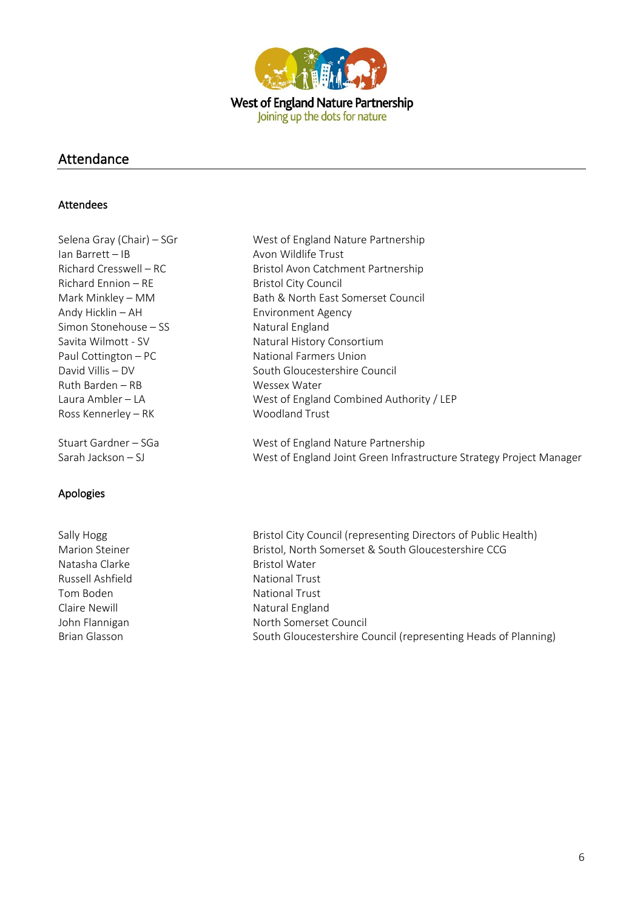

## Attendance

#### Attendees

| Selena Gray (Chair) – SGr | West of England Nature Partnership                                  |
|---------------------------|---------------------------------------------------------------------|
| $lan$ Barrett $-IB$       | Avon Wildlife Trust                                                 |
| Richard Cresswell – RC    | Bristol Avon Catchment Partnership                                  |
| Richard Ennion - RE       | <b>Bristol City Council</b>                                         |
| Mark Minkley - MM         | Bath & North East Somerset Council                                  |
| Andy Hicklin - AH         | <b>Environment Agency</b>                                           |
| Simon Stonehouse - SS     | Natural England                                                     |
| Savita Wilmott - SV       | Natural History Consortium                                          |
| Paul Cottington - PC      | National Farmers Union                                              |
| David Villis - DV         | South Gloucestershire Council                                       |
| Ruth Barden – RB          | Wessex Water                                                        |
| Laura Ambler - LA         | West of England Combined Authority / LEP                            |
| Ross Kennerley - RK       | Woodland Trust                                                      |
| Stuart Gardner - SGa      | West of England Nature Partnership                                  |
| Sarah Jackson – SJ        | West of England Joint Green Infrastructure Strategy Project Manager |

## Apologies

Natasha Clarke **Bristol Water** Bristol Water Russell Ashfield National Trust Tom Boden National Trust

Sally Hogg Sally Hogg Bristol City Council (representing Directors of Public Health) Marion Steiner **Bristol, North Somerset & South Gloucestershire CCG** Claire Newill **Natural England** John Flannigan North Somerset Council Brian Glasson South Gloucestershire Council (representing Heads of Planning)